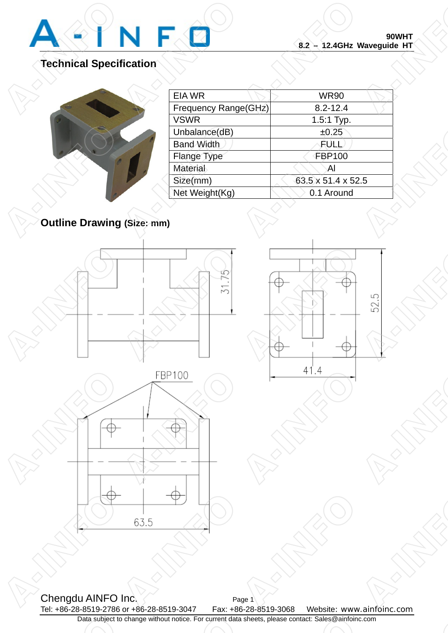

## **Technical Specification**

|          |                      | 90WHT<br>12.4GHz Waveguide HT<br>$8.2 -$ |  |
|----------|----------------------|------------------------------------------|--|
| fication |                      |                                          |  |
|          | <b>EIA WR</b>        | <b>WR90</b>                              |  |
|          | Frequency Range(GHz) | $8.2 - 12.4$                             |  |
|          | <b>VSWR</b>          | 1.5:1 Typ.                               |  |
|          | Unbalance(dB)        | ±0.25                                    |  |
|          | <b>Band Width</b>    | FULL                                     |  |
|          | Flange Type          | <b>FBP100</b>                            |  |
|          | <b>Material</b>      | Al                                       |  |
|          | Size(mm)             | 63.5 x 51.4 x 52.5                       |  |
|          | Net Weight(Kg)       | 0.1 Around                               |  |

**Outline Drawing (Size: mm) Contine Drawing (Separation Continents)** 







Chengdu AINFO Inc.<br>Tel: +86-28-8519-2786 or +86-28-8519-3047 Fax: +86-28-8519-3068 Tel: +86-28-8519-2786 or +86-28-8519-3047 Fax: +86-28-8519-3068 Website: www.ainfoinc.com Data subject to change without notice. For current data sheets, please contact: Sales@ainfoinc.com  $\frac{1}{\sqrt{100}}$ **A-INFORMATION** Data subject to c o change without notice. For current data sl a sheets, please contact: Sales@ainfoinc.c  $\frac{1}{\sqrt{1-\frac{1}{\sqrt{1-\frac{1}{\sqrt{1-\frac{1}{\sqrt{1-\frac{1}{\sqrt{1-\frac{1}{\sqrt{1-\frac{1}{\sqrt{1-\frac{1}{\sqrt{1-\frac{1}{\sqrt{1-\frac{1}{\sqrt{1-\frac{1}{\sqrt{1-\frac{1}{\sqrt{1-\frac{1}{\sqrt{1-\frac{1}{\sqrt{1-\frac{1}{\sqrt{1-\frac{1}{\sqrt{1-\frac{1}{\sqrt{1-\frac{1}{\sqrt{1-\frac{1}{\sqrt{1-\frac{1}{\sqrt{1-\frac{1}{\sqrt{1-\frac{1}{\sqrt{1-\frac{1}{\sqrt{1-\frac{1}{\sqrt{1-\frac{1$